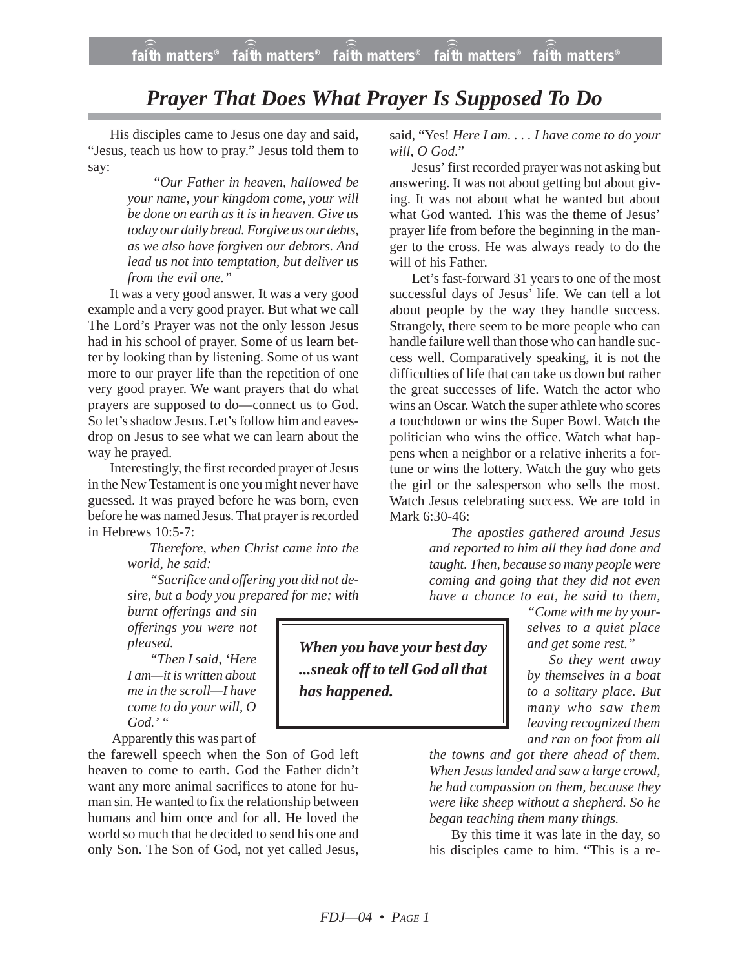## *Prayer That Does What Prayer Is Supposed To Do*

His disciples came to Jesus one day and said, "Jesus, teach us how to pray." Jesus told them to say:

> "*Our Father in heaven, hallowed be your name, your kingdom come, your will be done on earth as it is in heaven. Give us today our daily bread. Forgive us our debts, as we also have forgiven our debtors. And lead us not into temptation, but deliver us from the evil one."*

It was a very good answer. It was a very good example and a very good prayer. But what we call The Lord's Prayer was not the only lesson Jesus had in his school of prayer. Some of us learn better by looking than by listening. Some of us want more to our prayer life than the repetition of one very good prayer. We want prayers that do what prayers are supposed to do—connect us to God. So let's shadow Jesus. Let's follow him and eavesdrop on Jesus to see what we can learn about the way he prayed.

Interestingly, the first recorded prayer of Jesus in the New Testament is one you might never have guessed. It was prayed before he was born, even before he was named Jesus. That prayer is recorded in Hebrews 10:5-7:

> *Therefore, when Christ came into the world, he said:*

> *"Sacrifice and offering you did not desire, but a body you prepared for me; with*

*burnt offerings and sin offerings you were not pleased.*

*"Then I said, 'Here I am—it is written about me in the scroll—I have come to do your will, O God.' "*

Apparently this was part of

the farewell speech when the Son of God left heaven to come to earth. God the Father didn't want any more animal sacrifices to atone for human sin. He wanted to fix the relationship between humans and him once and for all. He loved the world so much that he decided to send his one and only Son. The Son of God, not yet called Jesus,

said, "Yes! *Here I am. . . . I have come to do your will, O God*."

Jesus' first recorded prayer was not asking but answering. It was not about getting but about giving. It was not about what he wanted but about what God wanted. This was the theme of Jesus' prayer life from before the beginning in the manger to the cross. He was always ready to do the will of his Father.

Let's fast-forward 31 years to one of the most successful days of Jesus' life. We can tell a lot about people by the way they handle success. Strangely, there seem to be more people who can handle failure well than those who can handle success well. Comparatively speaking, it is not the difficulties of life that can take us down but rather the great successes of life. Watch the actor who wins an Oscar. Watch the super athlete who scores a touchdown or wins the Super Bowl. Watch the politician who wins the office. Watch what happens when a neighbor or a relative inherits a fortune or wins the lottery. Watch the guy who gets the girl or the salesperson who sells the most. Watch Jesus celebrating success. We are told in Mark 6:30-46:

> *The apostles gathered around Jesus and reported to him all they had done and taught. Then, because so many people were coming and going that they did not even have a chance to eat, he said to them,*

> > *"Come with me by yourselves to a quiet place and get some rest."*

*So they went away by themselves in a boat to a solitary place. But many who saw them leaving recognized them and ran on foot from all*

*the towns and got there ahead of them. When Jesus landed and saw a large crowd, he had compassion on them, because they were like sheep without a shepherd. So he began teaching them many things.*

By this time it was late in the day, so his disciples came to him. "This is a re-

*When you have your best day ...sneak off to tell God all that has happened.*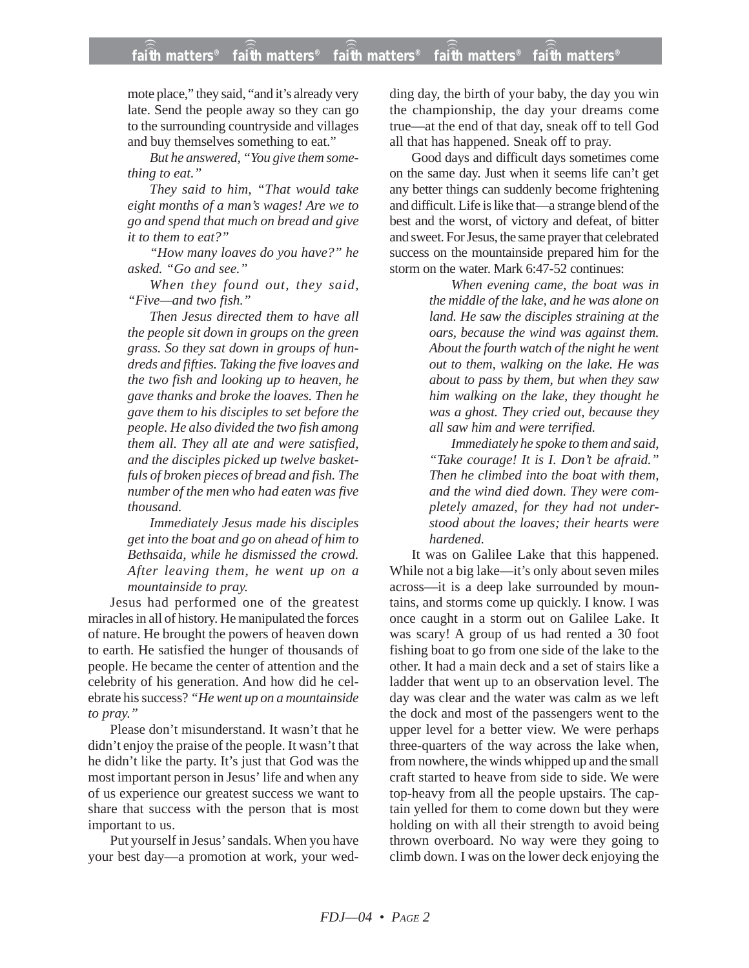mote place," they said, "and it's already very late. Send the people away so they can go to the surrounding countryside and villages and buy themselves something to eat."

*But he answered, "You give them something to eat."*

*They said to him, "That would take eight months of a man's wages! Are we to go and spend that much on bread and give it to them to eat?"*

*"How many loaves do you have?" he asked. "Go and see."*

*When they found out, they said, "Five—and two fish."*

*Then Jesus directed them to have all the people sit down in groups on the green grass. So they sat down in groups of hundreds and fifties. Taking the five loaves and the two fish and looking up to heaven, he gave thanks and broke the loaves. Then he gave them to his disciples to set before the people. He also divided the two fish among them all. They all ate and were satisfied, and the disciples picked up twelve basketfuls of broken pieces of bread and fish. The number of the men who had eaten was five thousand.*

*Immediately Jesus made his disciples get into the boat and go on ahead of him to Bethsaida, while he dismissed the crowd. After leaving them, he went up on a mountainside to pray.*

Jesus had performed one of the greatest miracles in all of history. He manipulated the forces of nature. He brought the powers of heaven down to earth. He satisfied the hunger of thousands of people. He became the center of attention and the celebrity of his generation. And how did he celebrate his success? *"He went up on a mountainside to pray."*

Please don't misunderstand. It wasn't that he didn't enjoy the praise of the people. It wasn't that he didn't like the party. It's just that God was the most important person in Jesus' life and when any of us experience our greatest success we want to share that success with the person that is most important to us.

Put yourself in Jesus' sandals. When you have your best day—a promotion at work, your wedding day, the birth of your baby, the day you win the championship, the day your dreams come true—at the end of that day, sneak off to tell God all that has happened. Sneak off to pray.

Good days and difficult days sometimes come on the same day. Just when it seems life can't get any better things can suddenly become frightening and difficult. Life is like that—a strange blend of the best and the worst, of victory and defeat, of bitter and sweet. For Jesus, the same prayer that celebrated success on the mountainside prepared him for the storm on the water. Mark 6:47-52 continues:

> *When evening came, the boat was in the middle of the lake, and he was alone on land. He saw the disciples straining at the oars, because the wind was against them. About the fourth watch of the night he went out to them, walking on the lake. He was about to pass by them, but when they saw him walking on the lake, they thought he was a ghost. They cried out, because they all saw him and were terrified.*

> *Immediately he spoke to them and said, "Take courage! It is I. Don't be afraid." Then he climbed into the boat with them, and the wind died down. They were completely amazed, for they had not understood about the loaves; their hearts were hardened.*

It was on Galilee Lake that this happened. While not a big lake—it's only about seven miles across—it is a deep lake surrounded by mountains, and storms come up quickly. I know. I was once caught in a storm out on Galilee Lake. It was scary! A group of us had rented a 30 foot fishing boat to go from one side of the lake to the other. It had a main deck and a set of stairs like a ladder that went up to an observation level. The day was clear and the water was calm as we left the dock and most of the passengers went to the upper level for a better view. We were perhaps three-quarters of the way across the lake when, from nowhere, the winds whipped up and the small craft started to heave from side to side. We were top-heavy from all the people upstairs. The captain yelled for them to come down but they were holding on with all their strength to avoid being thrown overboard. No way were they going to climb down. I was on the lower deck enjoying the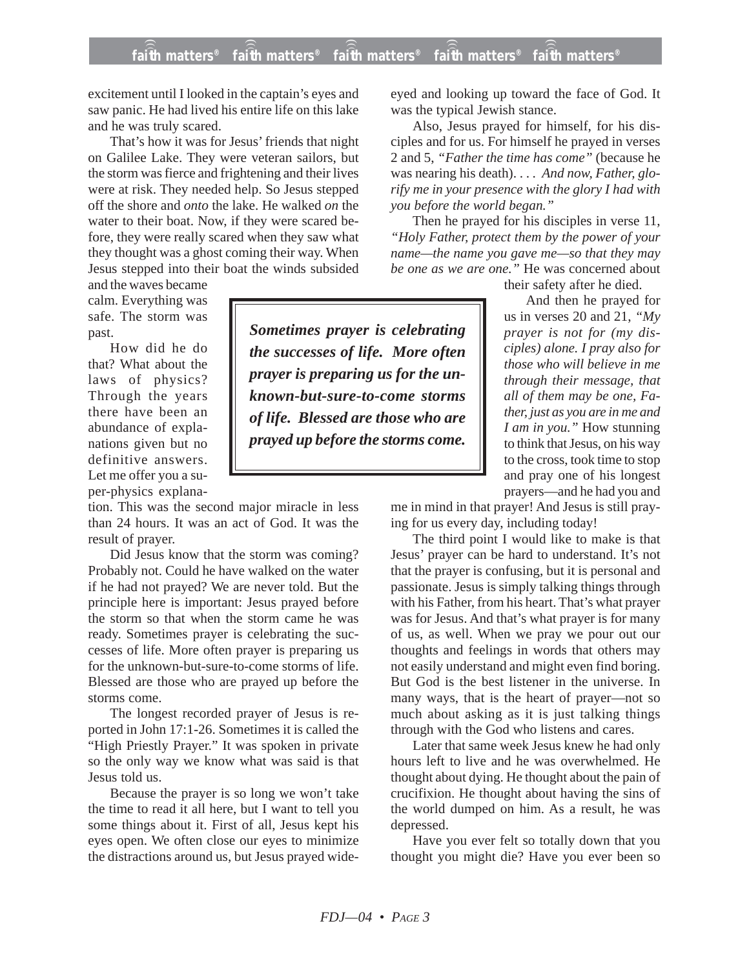excitement until I looked in the captain's eyes and saw panic. He had lived his entire life on this lake and he was truly scared.

That's how it was for Jesus' friends that night on Galilee Lake. They were veteran sailors, but the storm was fierce and frightening and their lives were at risk. They needed help. So Jesus stepped off the shore and *onto* the lake. He walked *on* the water to their boat. Now, if they were scared before, they were really scared when they saw what they thought was a ghost coming their way. When Jesus stepped into their boat the winds subsided

and the waves became calm. Everything was safe. The storm was past.

How did he do that? What about the laws of physics? Through the years there have been an abundance of explanations given but no definitive answers. Let me offer you a super-physics explana-

tion. This was the second major miracle in less than 24 hours. It was an act of God. It was the result of prayer.

Did Jesus know that the storm was coming? Probably not. Could he have walked on the water if he had not prayed? We are never told. But the principle here is important: Jesus prayed before the storm so that when the storm came he was ready. Sometimes prayer is celebrating the successes of life. More often prayer is preparing us for the unknown-but-sure-to-come storms of life. Blessed are those who are prayed up before the storms come.

The longest recorded prayer of Jesus is reported in John 17:1-26. Sometimes it is called the "High Priestly Prayer." It was spoken in private so the only way we know what was said is that Jesus told us.

Because the prayer is so long we won't take the time to read it all here, but I want to tell you some things about it. First of all, Jesus kept his eyes open. We often close our eyes to minimize the distractions around us, but Jesus prayed wide-

*Sometimes prayer is celebrating the successes of life. More often prayer is preparing us for the unknown-but-sure-to-come storms of life. Blessed are those who are prayed up before the storms come.*

eyed and looking up toward the face of God. It was the typical Jewish stance.

Also, Jesus prayed for himself, for his disciples and for us. For himself he prayed in verses 2 and 5, *"Father the time has come"* (because he was nearing his death). . . . *And now, Father, glorify me in your presence with the glory I had with you before the world began."*

Then he prayed for his disciples in verse 11, *"Holy Father, protect them by the power of your name—the name you gave me—so that they may be one as we are one."* He was concerned about

their safety after he died.

And then he prayed for us in verses 20 and 21, *"My prayer is not for (my disciples) alone. I pray also for those who will believe in me through their message, that all of them may be one, Father, just as you are in me and I am in you."* How stunning to think that Jesus, on his way to the cross, took time to stop and pray one of his longest prayers—and he had you and

me in mind in that prayer! And Jesus is still praying for us every day, including today!

The third point I would like to make is that Jesus' prayer can be hard to understand. It's not that the prayer is confusing, but it is personal and passionate. Jesus is simply talking things through with his Father, from his heart. That's what prayer was for Jesus. And that's what prayer is for many of us, as well. When we pray we pour out our thoughts and feelings in words that others may not easily understand and might even find boring. But God is the best listener in the universe. In many ways, that is the heart of prayer—not so much about asking as it is just talking things through with the God who listens and cares.

Later that same week Jesus knew he had only hours left to live and he was overwhelmed. He thought about dying. He thought about the pain of crucifixion. He thought about having the sins of the world dumped on him. As a result, he was depressed.

Have you ever felt so totally down that you thought you might die? Have you ever been so